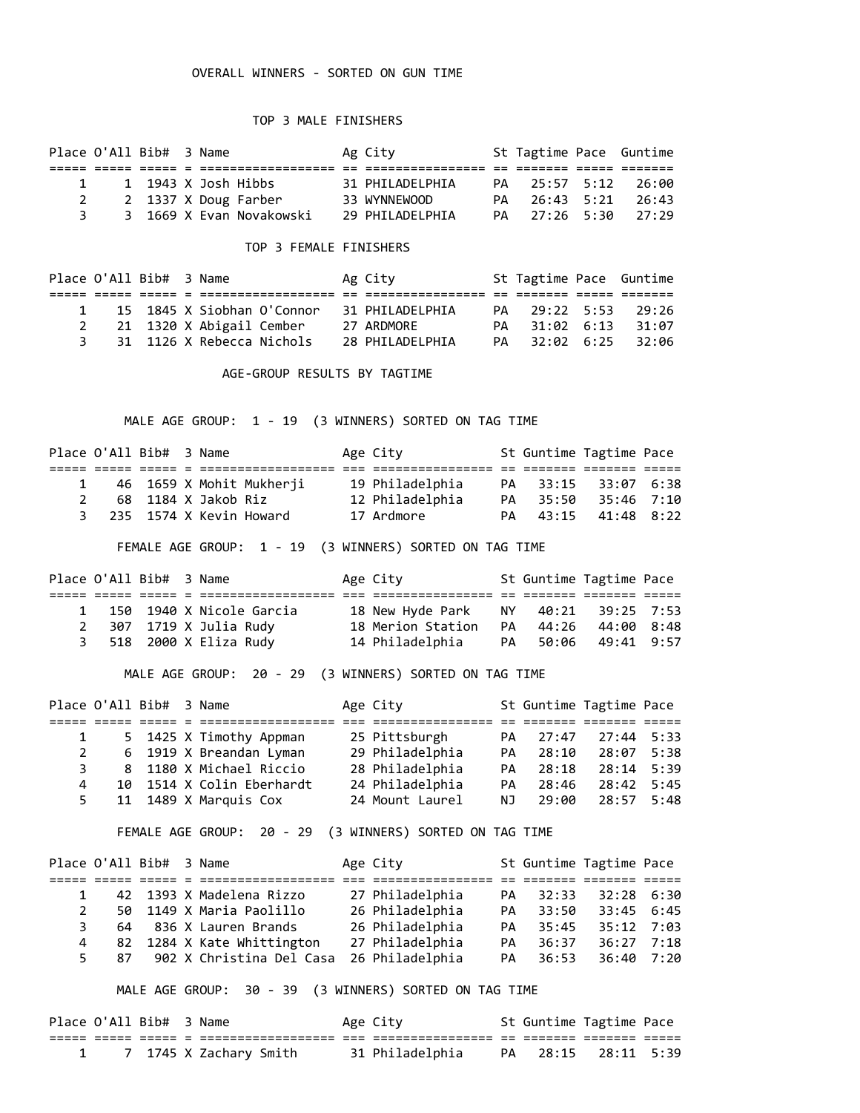## OVERALL WINNERS - SORTED ON GUN TIME

## TOP 3 MALE FINISHERS

|  | Place O'All Bib# 3 Name |  |                          | Ag City           | St Tagtime Pace Guntime |         |
|--|-------------------------|--|--------------------------|-------------------|-------------------------|---------|
|  |                         |  |                          |                   |                         |         |
|  |                         |  | 1 1943 X Josh Hibbs      | 31 PHILADELPHIA   | PA 25:57 5:12           | 26:00   |
|  |                         |  | 2 1337 X Doug Farber     | 33 WYNNEWOOD      | PA 26:43 5:21           | - 26:43 |
|  |                         |  | 3 1669 X Evan Novakowski | 29 PHTI ADFI PHTA | PA 27:26 5:30           | 77:79   |

## TOP 3 FEMALE FINISHERS

| Place O'All Bib# 3 Name |  |                            |  | Ag City         | St Tagtime Pace Guntime |          |  |
|-------------------------|--|----------------------------|--|-----------------|-------------------------|----------|--|
|                         |  |                            |  |                 |                         |          |  |
|                         |  | 15 1845 X Siobhan O'Connor |  | 31 PHILADELPHIA | PA 29:22 5:53 29:26     |          |  |
|                         |  | 21 1320 X Abigail Cember   |  | 27 ARDMORE      | PA 31:02 6:13           | $-31:07$ |  |
| 3                       |  | 31 1126 X Rebecca Nichols  |  | 28 PHILADELPHIA | PA 32:02 6:25           | $-32:96$ |  |

AGE-GROUP RESULTS BY TAGTIME

MALE AGE GROUP: 1 - 19 (3 WINNERS) SORTED ON TAG TIME

|  | Place O'All Bib# 3 Name |                       |                            | Age City        |  | St Guntime Tagtime Pace |  |
|--|-------------------------|-----------------------|----------------------------|-----------------|--|-------------------------|--|
|  |                         |                       |                            |                 |  |                         |  |
|  |                         |                       | 1 46 1659 X Mohit Mukherji | 19 Philadelphia |  | PA 33:15 33:07 6:38     |  |
|  |                         | 2 68 1184 X Jakob Riz |                            | 12 Philadelphia |  | PA 35:50 35:46 7:10     |  |
|  |                         |                       | 3 235 1574 X Kevin Howard  | 17 Ardmore      |  | PA 43:15 41:48 8:22     |  |

FEMALE AGE GROUP: 1 - 19 (3 WINNERS) SORTED ON TAG TIME

| Place O'All Bib# 3 Name    |                                                  |            |                                                                                                    |
|----------------------------|--------------------------------------------------|------------|----------------------------------------------------------------------------------------------------|
|                            |                                                  |            |                                                                                                    |
| 1 150 1940 X Nicole Garcia |                                                  |            |                                                                                                    |
| 2 307 1719 X Julia Rudy    |                                                  | 44:00 8:48 |                                                                                                    |
| 3 518 2000 X Eliza Rudy    |                                                  |            |                                                                                                    |
|                            | Age City<br>18 Merion Station<br>14 Philadelphia |            | St Guntime Tagtime Pace<br>18 New Hyde Park NY 40:21 39:25 7:53<br>PA 44:26<br>PA 50:06 49:41 9:57 |

MALE AGE GROUP: 20 - 29 (3 WINNERS) SORTED ON TAG TIME

|             | Place O'All Bib# 3 Name |                           | Age City        |     |       | St Guntime Tagtime Pace |  |
|-------------|-------------------------|---------------------------|-----------------|-----|-------|-------------------------|--|
|             |                         |                           |                 |     |       |                         |  |
|             |                         | 5 1425 X Timothy Appman   | 25 Pittsburgh   | PA  | 27:47 | $27:44$ 5:33            |  |
| $2^{\circ}$ |                         | 6 1919 X Breandan Lyman   | 29 Philadelphia | PA  | 28:10 | 28:07 5:38              |  |
| З.          |                         | 8 1180 X Michael Riccio   | 28 Philadelphia | PA  | 28:18 | $28:14$ 5:39            |  |
| 4           |                         | 10 1514 X Colin Eberhardt | 24 Philadelphia | PA  | 28:46 | $28:42$ 5:45            |  |
|             |                         | 11 1489 X Marquis Cox     | 24 Mount Laurel | NJ. | 29:00 | 28:57 5:48              |  |

FEMALE AGE GROUP: 20 - 29 (3 WINNERS) SORTED ON TAG TIME

|              | Place O'All Bib# 3 Name |                               | Age City        |    |          | St Guntime Tagtime Pace |  |
|--------------|-------------------------|-------------------------------|-----------------|----|----------|-------------------------|--|
|              |                         |                               |                 |    |          |                         |  |
|              |                         | 42 1393 X Madelena Rizzo      | 27 Philadelphia | PA | 32:33    | $32:28$ 6:30            |  |
| $\mathbf{2}$ |                         | 50 1149 X Maria Paolillo      | 26 Philadelphia | PA | 33:50    | $33:45$ 6:45            |  |
| 3            |                         | 64 836 X Lauren Brands        | 26 Philadelphia |    | PA 35:45 | $35:12$ 7:03            |  |
| 4            |                         | 82 1284 X Kate Whittington    | 27 Philadelphia | PA | 36:37    | $36:27$ 7:18            |  |
|              |                         | 5 87 902 X Christina Del Casa | 26 Philadelphia |    | PA 36:53 | $36:40$ 7:20            |  |

MALE AGE GROUP: 30 - 39 (3 WINNERS) SORTED ON TAG TIME

|  | Place O'All Bib# 3 Name |                        | Age City        | St Guntime Tagtime Pace |  |
|--|-------------------------|------------------------|-----------------|-------------------------|--|
|  |                         |                        |                 |                         |  |
|  |                         | 7 1745 X Zachary Smith | 31 Philadelphia | PA 28:15 28:11 5:39     |  |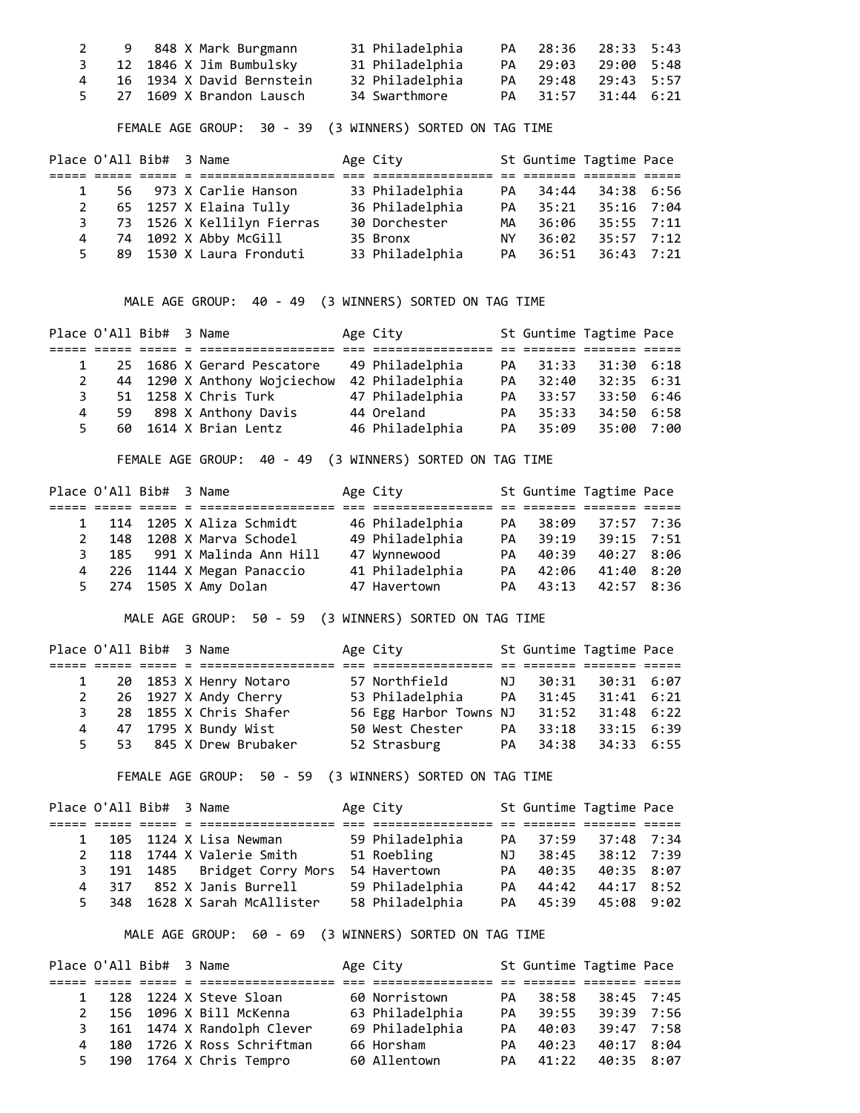|  | 9    848 X Mark Burgmann    | 31 Philadelphia | PA 28:36 28:33 5:43 |  |
|--|-----------------------------|-----------------|---------------------|--|
|  | 3 12 1846 X Jim Bumbulsky   | 31 Philadelphia | PA 29:03 29:00 5:48 |  |
|  | 4 16 1934 X David Bernstein | 32 Philadelphia | PA 29:48 29:43 5:57 |  |
|  | 5 27 1609 X Brandon Lausch  | 34 Swarthmore   | PA 31:57 31:44 6:21 |  |

FEMALE AGE GROUP: 30 - 39 (3 WINNERS) SORTED ON TAG TIME

|   | Place O'All Bib# 3 Name |  |                              | Age City        |           |          | St Guntime Tagtime Pace |  |
|---|-------------------------|--|------------------------------|-----------------|-----------|----------|-------------------------|--|
|   |                         |  |                              |                 |           |          |                         |  |
|   |                         |  | 56 973 X Carlie Hanson       | 33 Philadelphia | PA        | 34:44    | 34:38 6:56              |  |
| 2 |                         |  | 65 1257 X Elaina Tully       | 36 Philadelphia | <b>PA</b> | 35:21    | $35:16$ 7:04            |  |
|   |                         |  | 3 73 1526 X Kellilyn Fierras | 30 Dorchester   | MA        | 36:06    | $35:55$ 7:11            |  |
|   |                         |  | 4 74 1092 X Abby McGill      | 35 Bronx        | NY L      | 36:02    | 35:57 7:12              |  |
|   |                         |  | 5 89 1530 X Laura Fronduti   | 33 Philadelphia |           | PA 36:51 | 36:43 7:21              |  |

MALE AGE GROUP: 40 - 49 (3 WINNERS) SORTED ON TAG TIME

|    | Place O'All Bib# 3 Name |                              | Age City        |    |          | St Guntime Tagtime Pace |  |
|----|-------------------------|------------------------------|-----------------|----|----------|-------------------------|--|
|    |                         |                              |                 |    |          |                         |  |
|    |                         | 25 1686 X Gerard Pescatore   | 49 Philadelphia | PA | 31:33    | $31:30$ 6:18            |  |
| 2  |                         | 44 1290 X Anthony Wojciechow | 42 Philadelphia | PA | 32:40    | 32:35 6:31              |  |
|    |                         | 51 1258 X Chris Turk         | 47 Philadelphia | PA | 33:57    | 33:50 6:46              |  |
| 4  |                         | 59 898 X Anthony Davis       | 44 Oreland      | PA | 35:33    | 34:50 6:58              |  |
| 5. |                         | 60 1614 X Brian Lentz        | 46 Philadelphia |    | PA 35:09 | 35:00 7:00              |  |

FEMALE AGE GROUP: 40 - 49 (3 WINNERS) SORTED ON TAG TIME

|  | Place O'All Bib# 3 Name |                              | Age City        |           |          | St Guntime Tagtime Pace |  |
|--|-------------------------|------------------------------|-----------------|-----------|----------|-------------------------|--|
|  |                         |                              |                 |           |          |                         |  |
|  |                         | 1 114 1205 X Aliza Schmidt   | 46 Philadelphia | PA        | 38:09    | 37:57 7:36              |  |
|  |                         | 2 148 1208 X Marva Schodel   | 49 Philadelphia | <b>PA</b> | 39:19    | $39:15$ 7:51            |  |
|  |                         | 3 185 991 X Malinda Ann Hill | 47 Wynnewood    | PA        | 40:39    | 40:27 8:06              |  |
|  |                         | 4 226 1144 X Megan Panaccio  | 41 Philadelphia |           | PA 42:06 | 41:40 8:20              |  |
|  |                         | 5 274 1505 X Amy Dolan       | 47 Havertown    |           | PA 43:13 | 42:57 8:36              |  |

MALE AGE GROUP: 50 - 59 (3 WINNERS) SORTED ON TAG TIME

|    | Place O'All Bib# 3 Name |                          | Age City                                |    |          | St Guntime Tagtime Pace |  |
|----|-------------------------|--------------------------|-----------------------------------------|----|----------|-------------------------|--|
|    |                         |                          |                                         |    |          |                         |  |
|    |                         | 1 20 1853 X Henry Notaro | 57 Northfield                           | NJ | 30:31    | 30:31 6:07              |  |
|    |                         | 2 26 1927 X Andy Cherry  | 53 Philadelphia PA 31:45                |    |          | 31:41 6:21              |  |
| 3. |                         | 28 1855 X Chris Shafer   | 56 Egg Harbor Towns NJ 31:52 31:48 6:22 |    |          |                         |  |
|    |                         | 4 47 1795 X Bundy Wist   | 50 West Chester PA                      |    | 33:18    | $33:15$ 6:39            |  |
|    |                         | 5 53 845 X Drew Brubaker | 52 Strasburg                            |    | PA 34:38 | 34:33 6:55              |  |

FEMALE AGE GROUP: 50 - 59 (3 WINNERS) SORTED ON TAG TIME

|              | Place O'All Bib# 3 Name |                               | Age City        |    |       | St Guntime Tagtime Pace |  |
|--------------|-------------------------|-------------------------------|-----------------|----|-------|-------------------------|--|
|              |                         |                               |                 |    |       |                         |  |
| $\mathbf{1}$ |                         | 105 1124 X Lisa Newman        | 59 Philadelphia | PA | 37:59 | 37:48 7:34              |  |
| 2            |                         | 118 1744 X Valerie Smith      | 51 Roebling     | NJ | 38:45 | 38:12 7:39              |  |
|              |                         | 3 191 1485 Bridget Corry Mors | 54 Havertown    | PA | 40:35 | 40:35 8:07              |  |
|              |                         | 4 317 852 X Janis Burrell     | 59 Philadelphia | PA | 44:42 | 44:17 8:52              |  |
| 5.           |                         | 348 1628 X Sarah McAllister   | 58 Philadelphia | PA | 45:39 | $45:08$ 9:02            |  |

MALE AGE GROUP: 60 - 69 (3 WINNERS) SORTED ON TAG TIME

| Place O'All Bib# 3 Name |  |                              | Age City        |    |          | St Guntime Tagtime Pace |  |
|-------------------------|--|------------------------------|-----------------|----|----------|-------------------------|--|
|                         |  |                              |                 |    |          |                         |  |
|                         |  | 1 128 1224 X Steve Sloan     | 60 Norristown   | PA | 38:58    | 38:45 7:45              |  |
| 2                       |  | 156 1096 X Bill McKenna      | 63 Philadelphia | PA | 39:55    | 39:39 7:56              |  |
|                         |  | 3 161 1474 X Randolph Clever | 69 Philadelphia | PA | 40:03    | 39:47 7:58              |  |
| $\overline{4}$          |  | 180 1726 X Ross Schriftman   | 66 Horsham      | PA | 40:23    | 40:17 8:04              |  |
|                         |  | 5 190 1764 X Chris Tempro    | 60 Allentown    |    | PA 41:22 | 40:35 8:07              |  |